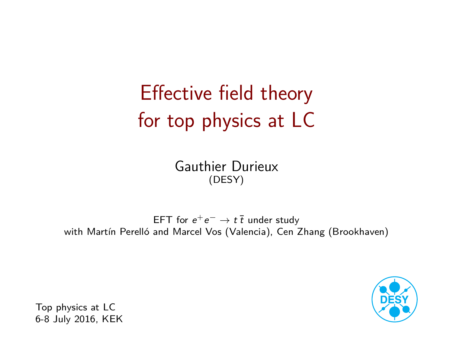# Effective field theory for top physics at LC

[Gauthier Durieux](http://inspirehep.net/search?p=author:G.Durieux.1) (DESY)

EFT for  $e^+e^- \rightarrow t \bar{t}$  under study with Martín Perelló and Marcel Vos (Valencia), Cen Zhang (Brookhaven)



Top physics at LC 6-8 July 2016, KEK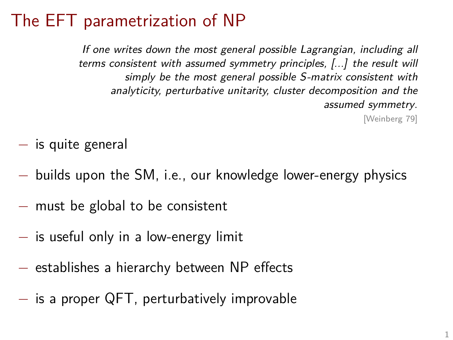## The EFT parametrization of NP

If one writes down the most general possible Lagrangian, including all terms consistent with assumed symmetry principles, [...] the result will simply be the most general possible S-matrix consistent with analyticity, perturbative unitarity, cluster decomposition and the assumed symmetry.

[\[Weinberg 79\]](http://dx.doi.org/10.1016/0378-4371(79)90223-1)

- − is quite general
- − builds upon the SM, i.e., our knowledge lower-energy physics
- − must be global to be consistent
- − is useful only in a low-energy limit
- − establishes a hierarchy between NP effects
- − is a proper QFT, perturbatively improvable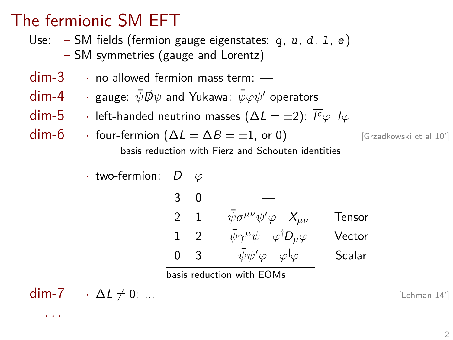## The fermionic SM EFT

Use:  $-$  SM fields (fermion gauge eigenstates: q,  $u$ ,  $d$ ,  $1$ ,  $e$ ) – SM symmetries (gauge and Lorentz)

- dim-3 · no allowed fermion mass term: —
- $dim-4$  · gauge:  $\bar{\psi}$  *Φ* $\psi$  and Yukawa:  $\bar{\psi}$  $\varphi$  ψ' operators
- $\mathsf{dim}\textrm{-}5$   $\;\;\cdot\;\;$  left-handed neutrino masses ( $\Delta L = \pm 2$ ):  $\overline{I^c}\varphi$  l $\varphi$
- $\dim$ -6 · four-fermion ( $\Delta L = \Delta B = \pm 1$ , or 0) [\[Grzadkowski et al 10'\]](http://arxiv.org/abs/1008.4884) basis reduction with Fierz and Schouten identities

· two-fermion: D *ϕ*  $3 \quad 0$  $2$  1  $\bar{\psi} \sigma^{\mu\nu} \psi' \varphi$   $X_{\mu\nu}$  Tensor 1 2  $\bar{\psi}\gamma^{\mu}\psi$   $\varphi^{\dagger}D_{\mu}\varphi$  Vector 0 3 *ψψ*¯ <sup>0</sup>*ϕ ϕ*†*ϕ* Scalar

basis reduction with EOMs

$$
dim-7 \qquad \cdot \Delta L \neq 0: \dots \qquad [Lehman 14']
$$

· · ·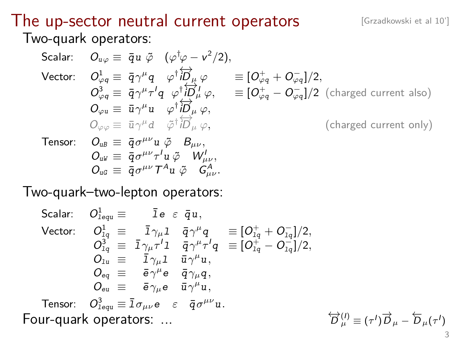#### The up-sector neutral current operators [\[Grzadkowski et al 10'\]](http://arxiv.org/abs/1008.4884) Two-quark operators:

Scalar: 
$$
O_{\psi\varphi} \equiv \bar{q}u \tilde{\varphi} \quad (\varphi^{\dagger}\varphi - v^{2}/2),
$$
  
\nVector: 
$$
O_{\varphi q}^1 \equiv \bar{q}\gamma^{\mu}q \quad \varphi^{\dagger}i\overleftrightarrow{D}_{\mu}\varphi \equiv [O_{\varphi q}^+ + O_{\varphi q}^-]/2,
$$

$$
O_{\varphi q}^3 \equiv \bar{q}\gamma^{\mu}\tau^{\prime}q \quad \varphi^{\dagger}i\overleftrightarrow{D}_{\mu}^{\prime}\varphi, \equiv [O_{\varphi q}^+ - O_{\varphi q}^-]/2 \text{ (charged current also)}
$$

$$
O_{\varphi u} \equiv \bar{u}\gamma^{\mu}u \quad \varphi^{\dagger}i\overleftrightarrow{D}_{\mu}\varphi,
$$

$$
O_{\varphi\varphi} \equiv \bar{u}\gamma^{\mu}d \quad \tilde{\varphi}^{\dagger}i\overleftrightarrow{D}_{\mu}\varphi, \qquad \text{(charged current only)}
$$
  
\nTensor: 
$$
O_{uB} \equiv \bar{q}\sigma^{\mu\nu}u \tilde{\varphi} B_{\mu\nu},
$$

$$
O_{uG} \equiv \bar{q}\sigma^{\mu\nu}\tau^{\prime}u \tilde{\varphi} W_{\mu\nu}^{\prime},
$$

Two-quark–two-lepton operators:

Scalar: 
$$
O_{lequ}^1 \equiv \bar{I}e \varepsilon \bar{q}u
$$
,  
\nVector:  $O_{lq}^1 \equiv \bar{I}\gamma_\mu I \bar{q}\gamma^\mu q \equiv [O_{lq}^+ + O_{lq}^-]/2$ ,  
\n $O_{lq}^3 \equiv \bar{I}\gamma_\mu \tau' I \bar{q}\gamma^\mu \tau' q \equiv [O_{lq}^+ - O_{lq}^-]/2$ ,  
\n $O_{lu} \equiv \bar{I}\gamma_\mu I \bar{u}\gamma^\mu u$ ,  
\n $O_{eq} \equiv \bar{e}\gamma^\mu e \bar{q}\gamma_\mu q$ ,  
\n $O_{eu} \equiv \bar{e}\gamma_\mu e \bar{u}\gamma^\mu u$ ,  
\nTensor:  $O_{lequ}^3 \equiv \bar{I}\sigma_\mu \nu e \varepsilon \bar{q}\sigma^{\mu\nu} u$ .  
\nFour-quark operators: ...  
\n $\overleftrightarrow{D}$ 

$$
\overleftrightarrow{D}_{\mu}^{(l)} \equiv (\tau^l)\overrightarrow{D}_{\mu} - \overleftarrow{D}_{\mu}(\tau^l)
$$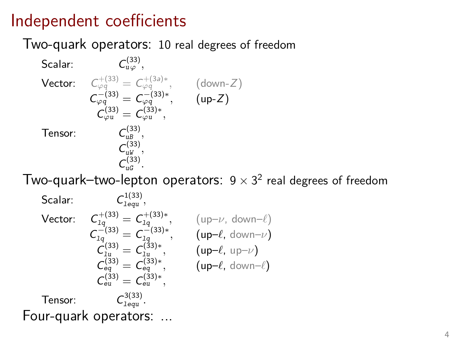### Independent coefficients

#### Two-quark operators: 10 real degrees of freedom

Scalar: (33) <sup>u</sup>*<sup>ϕ</sup> ,*  $\begin{array}{ccc} \mathsf{Vector:} & \mathsf{C}_{\varphi q}^{+ (33)} = \mathsf{C}_{\varphi q}^{+ (3a) *} , \end{array} \quad \left( \mathsf{down\text{-}Z} \right)$  $C_{\varphi q}^{-(33)} = C_{\varphi q}^{-(33)*}, \qquad (up-Z)$  $C_{\varphi u}^{(33)} = C_{\varphi u}^{(33)*},$ Tensor: (33) uB *,*  $C_{uW}^{(33)}$ ,  $C_{uG}^{(33)}$ .

Two-quark–two-lepton operators: 9  $\times$  3<sup>2</sup> real degrees of freedom

Scalar: 1(33) lequ *,* Vector:  $\mathcal{L}_{1q}^{+(33)} = \mathcal{C}_{1q}^{+(33)*},$  (up– $\nu$ , down– $\ell$ )  $C_{1q}^{-(33)} = C_{1q}^{-(33)*}, \qquad (up-\ell, \text{ down-}\nu)$  $\tilde{C}_{1u}^{(33)} = C_{1u}^{(33)*},$  (up– $\ell$ , up– $\nu$ )  $C_{eq}^{(33)} = C_{eq}^{(33)*},$  (up– $\ell$ , down– $\ell$ )  $C_{\text{eu}}^{(33)} = C_{\text{eu}}^{(33)*},$ Tensor: 3(33) lequ *.* Four-quark operators: ...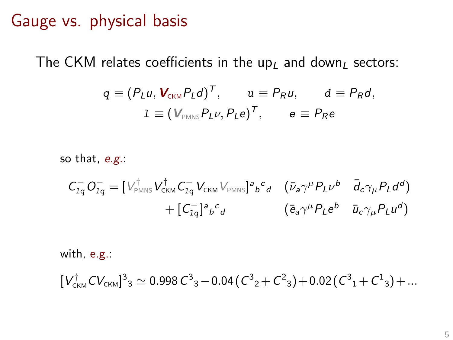#### Gauge vs. physical basis

The CKM relates coefficients in the up<sub>l</sub> and down<sub>l</sub> sectors:

$$
q \equiv (P_L u, \mathbf{V}_{CKM} P_L d)^T, \qquad u \equiv P_R u, \qquad d \equiv P_R d,
$$
  

$$
1 \equiv (\mathbf{V}_{PMNS} P_L \nu, P_L e)^T, \qquad e \equiv P_R e
$$

so that, e.g.:

$$
C_{1q}^{-}O_{1q}^{-} = [V_{\text{PMNS}}^{\dagger}V_{\text{CKM}}^{\dagger}C_{1q}^{-}V_{\text{CKM}}V_{\text{PMNS}}]^{a}{}_{b}^{c}{}_{d} \quad (\bar{\nu}_{a}\gamma^{\mu}P_{L}\nu^{b} \quad \bar{d}_{c}\gamma_{\mu}P_{L}d^{d})
$$

$$
+ [C_{1q}^{-}]^{a}{}_{b}^{c}{}_{d} \qquad (\bar{e}_{a}\gamma^{\mu}P_{L}e^{b} \quad \bar{u}_{c}\gamma_{\mu}P_{L}u^{d})
$$

with, e.g.:

$$
[V_{\textrm{{\tiny CKM}}}^{\dagger}CV_{\textrm{{\tiny CKM}}}]^3{}_3 \simeq 0.998\, {\mathcal C}^3{}_3 - 0.04 \, ({\mathcal C}^3{}_2 + {\mathcal C}^2{}_3) + 0.02 \, ({\mathcal C}^3{}_1 + {\mathcal C}^1{}_3) + ...
$$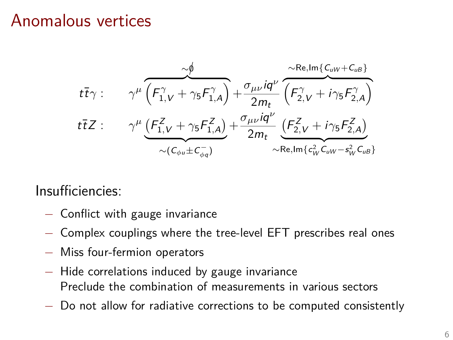#### Anomalous vertices

$$
t\overline{t}\gamma: \qquad \gamma^{\mu}\overbrace{\left(F_{1,V}^{\gamma}+\gamma_{5}F_{1,A}^{\gamma}\right)}^{\sim\phi}+\frac{\sigma_{\mu\nu}iq^{\nu}}{2m_{t}}\overbrace{\left(F_{2,V}^{\gamma}+i\gamma_{5}F_{2,A}^{\gamma}\right)}^{\sim\text{Re},\text{Im}\left\{C_{uW}+C_{uB}\right\}}\\ t\overline{t}Z: \qquad \gamma^{\mu}\underbrace{\left(F_{1,V}^{Z}+\gamma_{5}F_{1,A}^{Z}\right)}_{\sim\left(C_{\phi u}\pm C_{\phi q}^{-}\right)}+\frac{\sigma_{\mu\nu}iq^{\nu}}{2m_{t}}\underbrace{\left(F_{2,V}^{Z}+i\gamma_{5}F_{2,A}^{Z}\right)}_{\sim\text{Re},\text{Im}\left\{c_{uW}^{2}-s_{w}^{2}C_{uB}\right\}}
$$

Insufficiencies:

- − Conflict with gauge invariance
- − Complex couplings where the tree-level EFT prescribes real ones
- − Miss four-fermion operators
- − Hide correlations induced by gauge invariance Preclude the combination of measurements in various sectors
- − Do not allow for radiative corrections to be computed consistently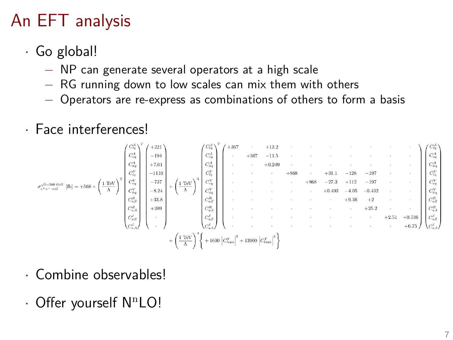## An EFT analysis

- · Go global!
	- − NP can generate several operators at a high scale
	- − RG running down to low scales can mix them with others
	- − Operators are re-express as combinations of others to form a basis
- · Face interferences!

$$
\sigma_{e^{+}=-\text{crit}}^{-\text{G}-\text{non}}\text{ GeV}\left[\text{It}\right]=+568+\left(\frac{1\text{ TeV}}{\Lambda}\right)^2\begin{pmatrix}C_{\alpha}^4\\C_{\alpha}^4\\C_{\beta}^4\\C_{\delta}^4\\C_{\delta}^4\\C_{\delta}^4\\C_{\delta}^4\\C_{\delta}^4\\C_{\delta}^4\\C_{\delta}^4\\C_{\delta}^4\\C_{\delta}^4\\C_{\delta}^4\\C_{\delta}^4\\C_{\delta}^4\\C_{\delta}^4\\C_{\delta}^4\\C_{\delta}^4\\C_{\delta}^4\\C_{\delta}^4\\C_{\delta}^4\\C_{\delta}^4\\C_{\delta}^4\\C_{\delta}^4\\C_{\delta}^4\\C_{\delta}^4\\C_{\delta}^4\\C_{\delta}^4\\C_{\delta}^4\\C_{\delta}^4\\C_{\delta}^4\\C_{\delta}^4\\C_{\delta}^4\\C_{\delta}^4\\C_{\delta}^4\\C_{\delta}^4\\C_{\delta}^4\\C_{\delta}^4\\C_{\delta}^4\\C_{\delta}^4\\C_{\delta}^4\\C_{\delta}^4\\C_{\delta}^4\\C_{\delta}^4\\C_{\delta}^4\\C_{\delta}^4\\C_{\delta}^4\\C_{\delta}^4\\C_{\delta}^4\\C_{\delta}^4\\C_{\delta}^4\\C_{\delta}^4\\C_{\delta}^4\\C_{\delta}^4\\C_{\delta}^4\\C_{\delta}^4\\C_{\delta}^4\\C_{\delta}^4\\C_{\delta}^4\\C_{\delta}^4\\C_{\delta}^4\\C_{\delta}^4\\C_{\delta}^4\\C_{\delta}^4\\C_{\delta}^4\\C_{\delta}^4\\C_{\delta}^4\\C_{\delta}^4\\C_{\delta}^4\\C_{\delta}^4\\C_{\delta}^4\\C_{\delta}^4\\C_{\delta}^4\\C_{\delta}^4\\C_{\delta}^4\\C_{\delta}^4\\C_{\delta}^4\\C_{\delta}^4\\C_{\delta}^4\\C_{\delta}^4\\C_{\delta}^4\\C_{\delta}^4\\C_{\delta}^4\\C_{\delta}^4\\C_{\delta}^4\\C_{\delta}^4\\C_{\delta}^
$$

- · Combine observables!
- $\cdot$  Offer yourself N<sup>n</sup>LO!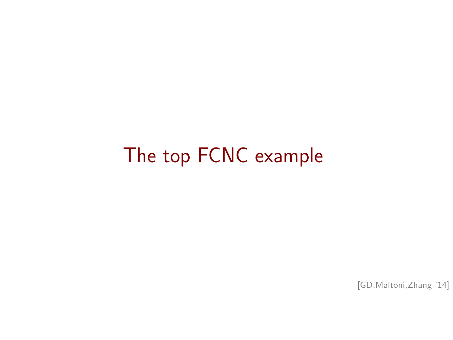# The top FCNC example

[\[GD,Maltoni,Zhang '14\]](http://arxiv.org/abs/1412.7166)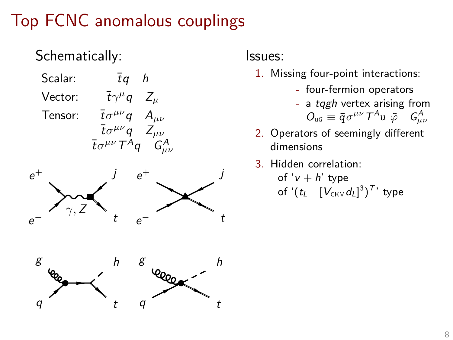## Top FCNC anomalous couplings

Schematically: Scalar:  $\bar{t}q$  h  $\text{Vector:} \qquad \bar{t}\gamma^{\mu}q \quad Z_{\mu}$ Tensor:  $\bar{t} \sigma^{\mu\nu} q A_{\mu\nu}$  $\bar{t} \sigma^{\mu\nu} q \quad Z_{\mu\nu}$  $\bar{t} \sigma^{\mu\nu} T^A q \quad G^A_{\mu\nu}$  $e^+$ j  $e^+$ j *γ,* Z t − − t e e g h g h Leega q q t t

Issues:

- 1. Missing four-point interactions:
	- four-fermion operators
	- a tqgh vertex arising from  $O_{\mathfrak{u}\mathfrak{G}}\equiv \bar{q}\sigma^{\mu\nu}T^A u \; \tilde{\varphi} \quad G^A_{\mu\nu}$
- 2. Operators of seemingly different dimensions
- 3. Hidden correlation:

of ' $v + h'$  type of  $'(t_L \quad [V_{\text{\tiny CKM}} d_L]^3)^{T}$ ' type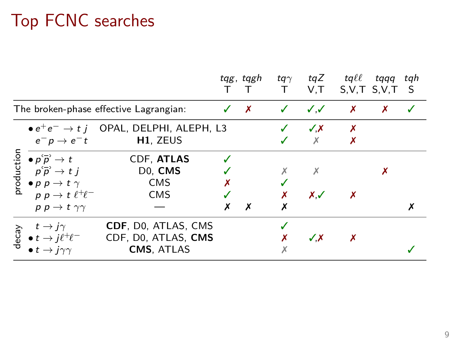## Top FCNC searches

|                                        |                                                                                                                                                                                                                                                                                                                                                                                                                                                                                                                                                                                                                       |                                                                               | tqg, tqgh<br>$\top$ | tq $\gamma$<br>$\mathsf{T}$ | $V$ , $T$              | tqZ tqll                  | tqqq tqh<br>S.V.T S.V.T S |  |
|----------------------------------------|-----------------------------------------------------------------------------------------------------------------------------------------------------------------------------------------------------------------------------------------------------------------------------------------------------------------------------------------------------------------------------------------------------------------------------------------------------------------------------------------------------------------------------------------------------------------------------------------------------------------------|-------------------------------------------------------------------------------|---------------------|-----------------------------|------------------------|---------------------------|---------------------------|--|
| The broken-phase effective Lagrangian: |                                                                                                                                                                                                                                                                                                                                                                                                                                                                                                                                                                                                                       |                                                                               | $\checkmark$ x      | $\checkmark$ $\checkmark$   |                        | $\boldsymbol{\mathsf{x}}$ | X                         |  |
|                                        | $e^-p\rightarrow e^-t$                                                                                                                                                                                                                                                                                                                                                                                                                                                                                                                                                                                                | $\bullet$ $e^+e^- \rightarrow t$ <i>i</i> OPAL, DELPHI, ALEPH, L3<br>H1, ZEUS |                     |                             | $\sqrt{X}$<br>$\times$ | X                         |                           |  |
|                                        | $\begin{array}{c}\n\mathbf{c} \\ \frac{\mathbf{c} \\ \mathbf{c} \\ \mathbf{c} \\ \mathbf{c} \\ \mathbf{d} \\ \mathbf{c} \\ \mathbf{d} \\ \mathbf{c} \\ \mathbf{c} \\ \mathbf{c} \\ \mathbf{d} \\ \mathbf{d} \\ \mathbf{d} \\ \mathbf{d} \\ \mathbf{d} \\ \mathbf{d} \\ \mathbf{d} \\ \mathbf{d} \\ \mathbf{d} \\ \mathbf{d} \\ \mathbf{d} \\ \mathbf{d} \\ \mathbf{d} \\ \mathbf{d} \\ \mathbf{d} \\ \mathbf{d} \\ \mathbf{d} \\ \mathbf{d} \\ \mathbf{d} \\ $<br>$\bullet$ $p\overset{\leftarrow}{p}\rightarrow t$<br>$p\,\bar{p}\to t\,j$<br>$p p \rightarrow t \ell^+ \ell^-$<br>$p p \rightarrow t \gamma \gamma$ | CDF, ATLAS<br>D <sub>0</sub> , CMS<br><b>CMS</b><br><b>CMS</b>                | Х                   |                             | $X \mathcal{I}$        |                           |                           |  |
|                                        | $t \rightarrow i\gamma$<br>$\begin{array}{c} \n\hline \n\mathfrak{g} & t \rightarrow j\gamma \\ \downarrow 0 & t \rightarrow j\ell^+\ell^- \\ \hline\n\mathfrak{g} & t \rightarrow i\gamma\gamma\n\end{array}$<br>$\bullet t \rightarrow i\gamma\gamma$                                                                                                                                                                                                                                                                                                                                                               | CDF, DO, ATLAS, CMS<br>CDF, D0, ATLAS, CMS<br><b>CMS, ATLAS</b>               |                     |                             | $\checkmark$ X         |                           |                           |  |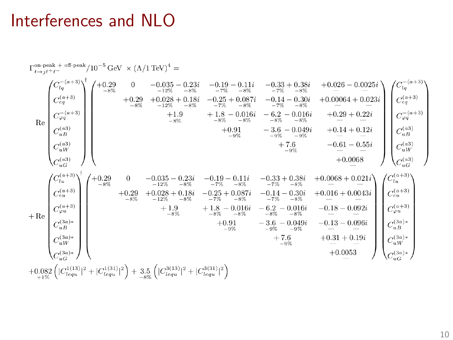#### Interferences and NLO

$$
\operatorname{Re} \left( \begin{matrix} C_{iq}^{-(a+3)} \\ C_{\bar{q}} \\ C_{\bar{q}} \\ C_{\bar{q}} \\ C_{\bar{q}} \\ C_{\bar{q}} \\ C_{\bar{q}} \\ C_{\bar{q}} \\ C_{\bar{q}} \\ C_{\bar{q}} \\ C_{\bar{q}} \\ C_{\bar{q}} \\ C_{\bar{q}} \\ C_{\bar{q}} \\ C_{\bar{q}} \\ C_{\bar{q}} \\ C_{\bar{q}} \\ C_{\bar{q}} \\ C_{\bar{q}} \\ C_{\bar{q}} \\ C_{\bar{q}} \\ C_{\bar{q}} \\ C_{\bar{q}} \\ C_{\bar{q}} \\ C_{\bar{q}} \\ C_{\bar{q}} \\ C_{\bar{q}} \\ C_{\bar{q}} \\ C_{\bar{q}} \\ C_{\bar{q}} \\ C_{\bar{q}} \\ C_{\bar{q}} \\ C_{\bar{q}} \\ C_{\bar{q}} \\ C_{\bar{q}} \\ C_{\bar{q}} \\ C_{\bar{q}} \\ C_{\bar{q}} \\ C_{\bar{q}} \\ C_{\bar{q}} \\ C_{\bar{q}} \\ C_{\bar{q}} \\ C_{\bar{q}} \\ C_{\bar{q}} \\ C_{\bar{q}} \\ C_{\bar{q}} \\ C_{\bar{q}} \\ C_{\bar{q}} \\ C_{\bar{q}} \\ C_{\bar{q}} \\ C_{\bar{q}} \\ C_{\bar{q}} \\ C_{\bar{q}} \\ C_{\bar{q}} \\ C_{\bar{q}} \\ C_{\bar{q}} \\ C_{\bar{q}} \\ C_{\bar{q}} \\ C_{\bar{q}} \\ C_{\bar{q}} \\ C_{\bar{q}} \\ C_{\bar{q}} \\ C_{\bar{q}} \\ C_{\bar{q}} \\ C_{\bar{q}} \\ C_{\bar{q}} \\ C_{\bar{q}} \\ C_{\bar{q}} \\ C_{\bar{q}} \\ C_{\bar{q}} \\ C_{\bar{q}} \\ C_{\bar{q}} \\ C_{\bar{q}} \\ C_{\bar{q}} \\ C_{\bar{q}} \\ C_{\bar{q}} \\ C_{\bar{q}} \\ C_{\bar{q}} \\ C_{\bar{q}} \\ C_{\bar{q}} \\ C_{\bar{q}} \\ C_{\bar{q}} \\ C_{\bar{q}} \\ C_{\bar{q}} \\ C_{\bar{q}} \\ C_{\bar{q}} \\ C_{\bar{q}} \\ C_{\bar{q}} \\ C_{\bar{q}} \\ C_{\bar{q}} \\ C_{\bar{q}} \\ C_{\bar{q}} \\ C_{\bar{q}}
$$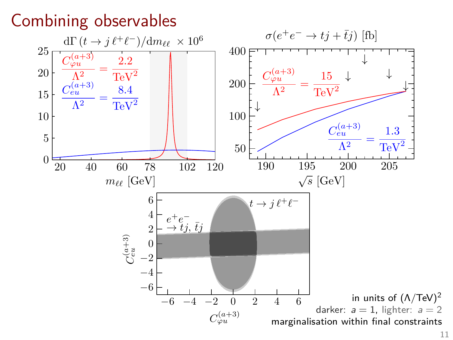### Combining observables

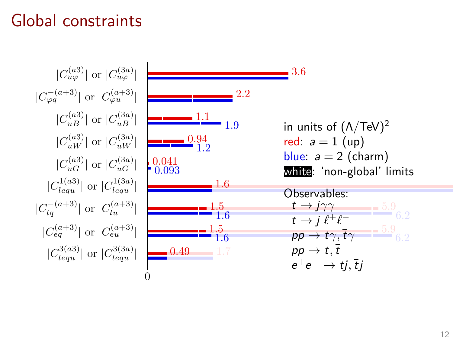### Global constraints

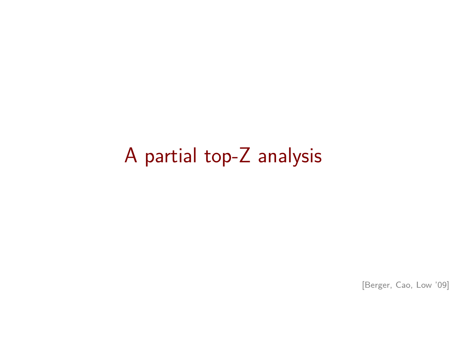## A partial top-Z analysis

[\[Berger, Cao, Low '09\]](http://arxiv.org/abs/0907.2191)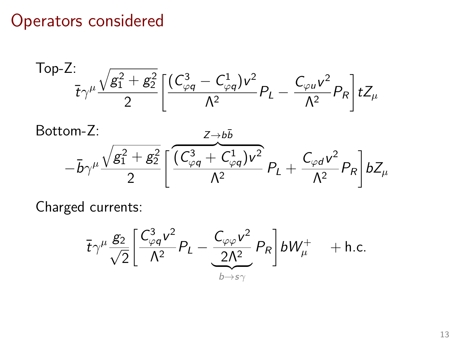#### Operators considered

Top-Z:  
\n
$$
\frac{1}{t\gamma^{\mu}}\frac{\sqrt{g_1^2+g_2^2}}{2}\left[\frac{(C_{\varphi q}^3-C_{\varphi q}^1)v^2}{\Lambda^2}P_L-\frac{C_{\varphi u}v^2}{\Lambda^2}P_R\right]tZ_{\mu}
$$

Bottom-Z:  $-\bar b\gamma^\mu$  $\sqrt{g_1^2+g_2^2}$ 2  $\int$  $\overline{(C_{\varphi q}^3 + C_{\varphi q}^1)v^2}$  $Z \rightarrow b\bar{b}$  $\frac{\varphi q}{\Lambda^2} P_L +$  $C_{\varphi d} v^2$  $\frac{\rho a}{\Lambda^2}P_R$ 1  $bZ_\mu$ 

Charged currents:

$$
\overline{t}\gamma^{\mu}\frac{g_2}{\sqrt{2}}\left[\frac{C_{\varphi q}^3v^2}{\Lambda^2}P_L-\frac{C_{\varphi\varphi}v^2}{2\Lambda^2}P_R\right]bW_{\mu}^+\quad+\text{h.c.}
$$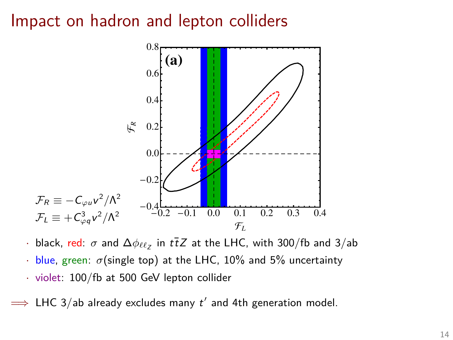#### Impact on hadron and lepton colliders



- $\cdot$  black, <u>red:</u>  $\sigma$  and  $\Delta\phi_{\ell\ell_Z}$  in  $t\bar{t}Z$  at the LHC, with 300/fb and 3/ab
- $\cdot$  blue, green:  $\sigma$ (single top) at the LHC, 10% and 5% uncertainty
- · violet: 100/fb at 500 GeV lepton collider

 $\implies$  LHC 3/ab already excludes many  $t'$  and 4th generation model.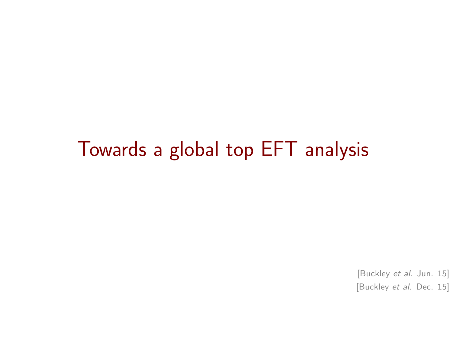## Towards a global top EFT analysis

[\[Buckley](http://arxiv.org/abs/1506.08845) et al. Jun. 15] [Buckley et al. [Dec. 15\]](http://arxiv.org/abs/1512.03360)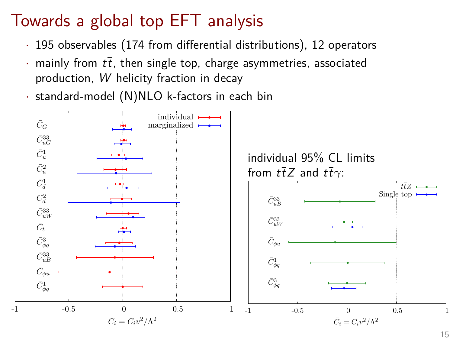## Towards a global top EFT analysis

- · 195 observables (174 from differential distributions), 12 operators
- mainly from  $t\bar{t}$ , then single top, charge asymmetries, associated production, W helicity fraction in decay
- · standard-model (N)NLO k-factors in each bin

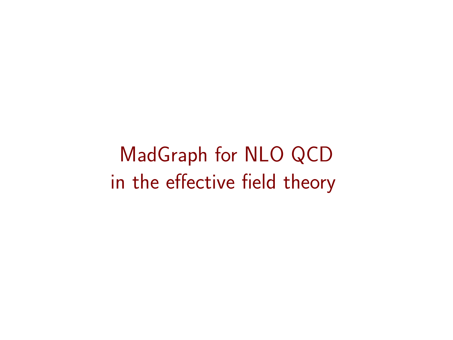MadGraph for NLO QCD in the effective field theory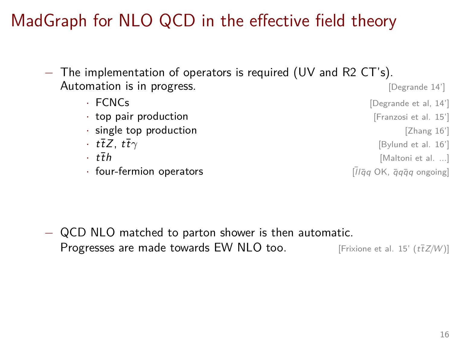## MadGraph for NLO QCD in the effective field theory

- − The implementation of operators is required (UV and R2 CT's). Automation is in progress. The same of the set of the set of the set of the set of the set of the set of the set of the set of the set of the set of the set of the set of the set of the set of the set of the set of the set
	- **FCNCs** [\[Degrande et al, 14'\]](http://arxiv.org/abs/1412.5594) • **top pair production in the pair production in the pair production in the pair of the pair of the pair of the pair of the pair of the pair of the pair of the pair of the pair of the pair of the pair of the pair of** • **single top production by a strategie of the strategie of the strategie of**  $\blacksquare$  **[\[Zhang 16'\]](http://arxiv.org/abs/1601.06163)** •  $t\bar{t}Z$ ,  $t\bar{t}\gamma$  [\[Bylund et al. 16'\]](http://arxiv.org/abs/1601.08193)
	-
	- four-fermion operators  $\overline{a}$  on  $\overline{a}$   $\overline{a}$  or  $\overline{a}$  or  $\overline{a}$  or  $\overline{a}$  ongoing]
	- $t\bar{t}h$  [Maltoni et al. ...]
		-

− QCD NLO matched to parton shower is then automatic. Progresses are made towards EW NLO too. [\[Frixione et al. 15' \(](http://arxiv.org/abs/arXiv:1504.03446)tt<sup>7</sup>Z/W)]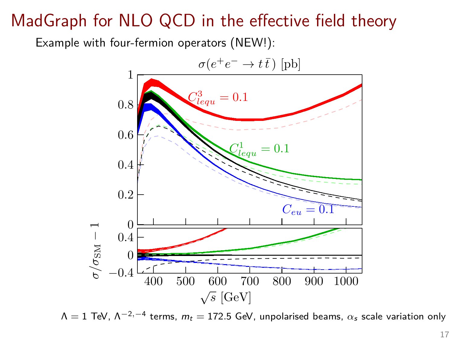## MadGraph for NLO QCD in the effective field theory

Example with four-fermion operators (NEW!):



 $\Lambda=1$  TeV,  $\Lambda^{-2,-4}$  terms,  $m_t=172.5$  GeV, unpolarised beams,  $\alpha_s$  scale variation only